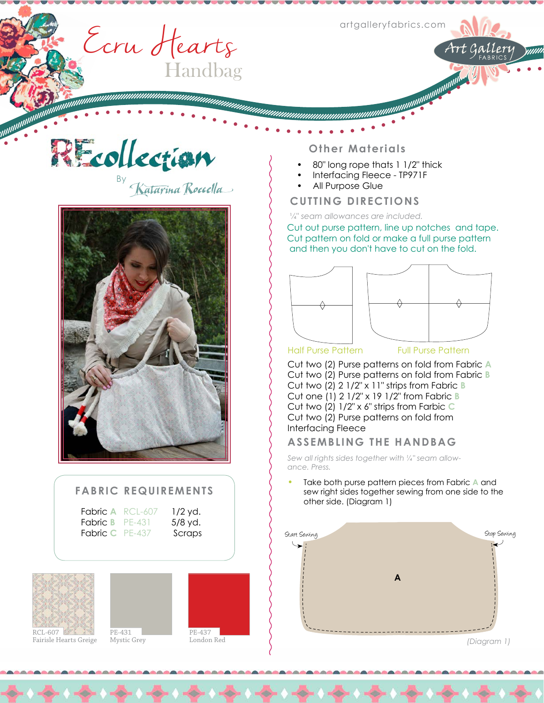**MARITANIA ARTISTIANI** 

Art Gallery

Ecru Hearts Handbag

By

nommunumumumumumumumumumumumumumumumum



## **FABRIC REQUIREMENTS**

Fabric **A** RCL-607 1/2 yd. **Fabric B PE-431** 5/8 yd. Fabric C PE-437 Scraps

**Reference** 







#### **Other Materials**

- 80" long rope thats 1 1/2" thick
- Interfacing Fleece TP971F
- All Purpose Glue

## **CUTTING DIRECTIONS**

¼" *seam allowances are included.* 

Cut out purse pattern, line up notches and tape. Cut pattern on fold or make a full purse pattern and then you don't have to cut on the fold.



Half Purse Pattern Full Purse Pattern

Cut two (2) Purse patterns on fold from Fabric **A** Cut two (2) Purse patterns on fold from Fabric **B** Cut two (2) 2 1/2" x 11" strips from Fabric **B** Cut one (1) 2 1/2" x 19 1/2" from Fabric **B** Cut two (2) 1/2" x 6" strips from Farbic **C**  Cut two (2) Purse patterns on fold from Interfacing Fleece

### **ASSEMBLING THE HANDBAG**

*Sew all rights sides together with ¼" seam allowance. Press.*

Take both purse pattern pieces from Fabric **A** and sew right sides together sewing from one side to the other side. (Diagram 1)



*(Diagram 1)*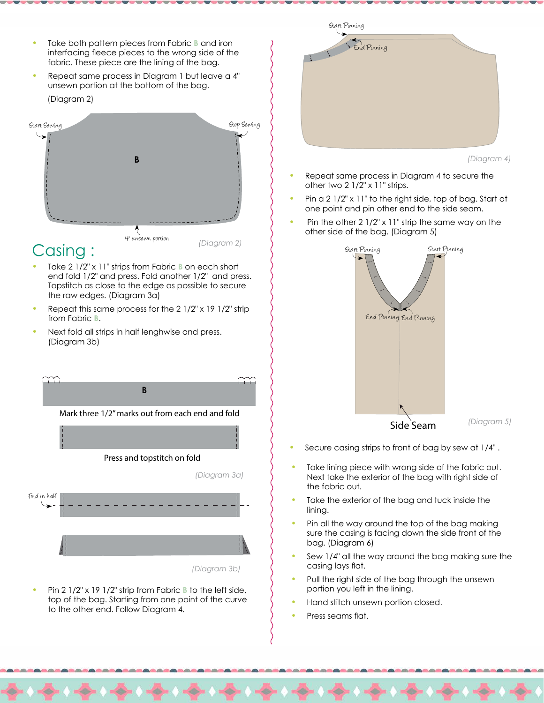- Take both pattern pieces from Fabric **B** and iron interfacing fleece pieces to the wrong side of the fabric. These piece are the lining of the bag.
- Repeat same process in Diagram 1 but leave a 4" unsewn portion at the bottom of the bag. (Diagram 2)



# Casing :

- Take 2 1/2" x 11" strips from Fabric **B** on each short end fold 1/2" and press. Fold another 1/2" and press. Topstitch as close to the edge as possible to secure the raw edges. (Diagram 3a)
- Repeat this same process for the  $2 \frac{1}{2}$ " x 19  $\frac{1}{2}$ " strip from Fabric **B**.
- Next fold all strips in half lenghwise and press. (Diagram 3b)



Pin 2 1/2" x 19 1/2" strip from Fabric **B** to the left side, top of the bag. Starting from one point of the curve to the other end. Follow Diagram 4.



*(Diagram 4)*

- Repeat same process in Diagram 4 to secure the other two 2 1/2" x 11" strips.
- Pin a  $2 \frac{1}{2}$ " x  $11$ " to the right side, top of bag. Start at one point and pin other end to the side seam.
- Pin the other  $2 \frac{1}{2}$ " x 11" strip the same way on the other side of the bag. (Diagram 5)



- Secure casing strips to front of bag by sew at 1/4".
- Take lining piece with wrong side of the fabric out. Next take the exterior of the bag with right side of the fabric out.
- Take the exterior of the bag and tuck inside the lining.
- Pin all the way around the top of the bag making sure the casing is facing down the side front of the bag. (Diagram 6)
- Sew 1/4" all the way around the bag making sure the casing lays flat.
- Pull the right side of the bag through the unsewn portion you left in the lining.
- Hand stitch unsewn portion closed.
- Press seams flat.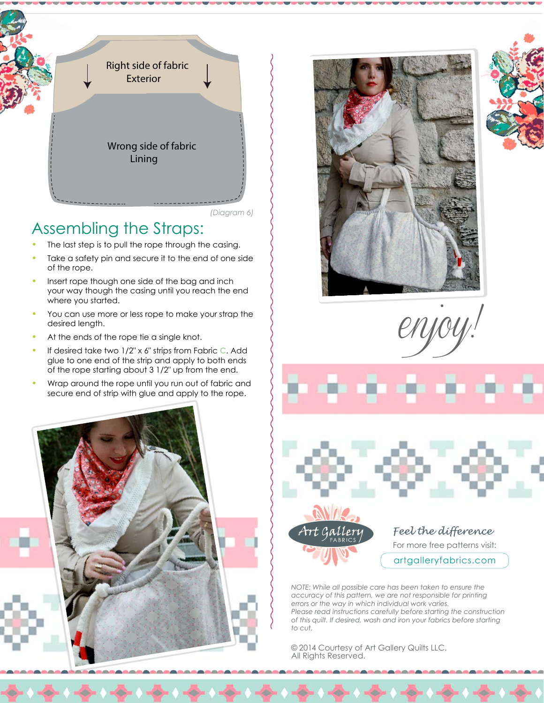

#### *(Diagram 6)*

## Assembling the Straps:

- The last step is to pull the rope through the casing.
- Take a safety pin and secure it to the end of one side of the rope.
- Insert rope though one side of the bag and inch your way though the casing until you reach the end where you started.
- You can use more or less rope to make your strap the desired length.
- At the ends of the rope tie a single knot.
- If desired take two 1/2" x 6" strips from Fabric C. Add glue to one end of the strip and apply to both ends of the rope starting about 3 1/2" up from the end.
- Wrap around the rope until you run out of fabric and secure end of strip with glue and apply to the rope.











### Feel the difference

For more free patterns visit:

artgalleryfabrics.com

*NOTE: While all possible care has been taken to ensure the accuracy of this pattern, we are not responsible for printing errors or the way in which individual work varies. Please read instructions carefully before starting the construction of this quilt. If desired, wash and iron your fabrics before starting to cut.*

© 2014 Courtesy of Art Gallery Quilts LLC. All Rights Reserved.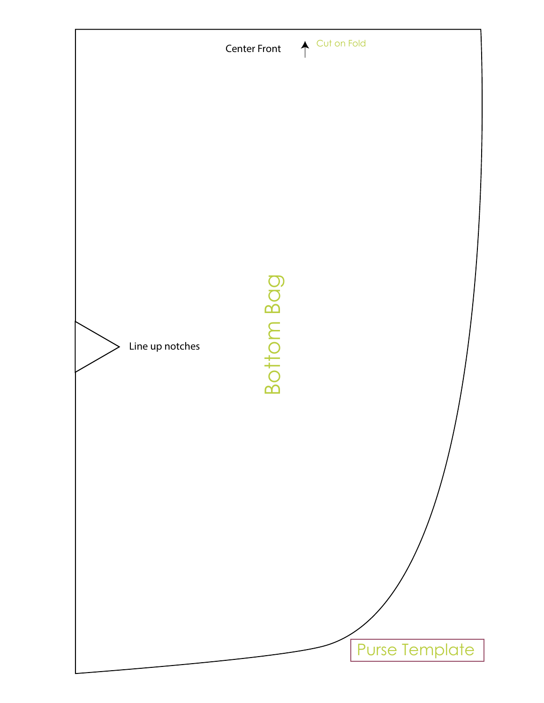